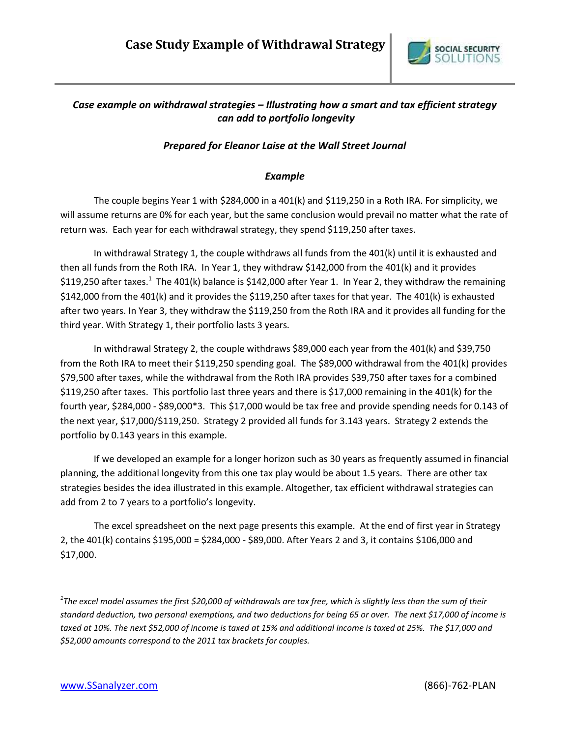

## *Case example on withdrawal strategies – Illustrating how a smart and tax efficient strategy can add to portfolio longevity*

## *Prepared for Eleanor Laise at the Wall Street Journal*

## *Example*

The couple begins Year 1 with \$284,000 in a 401(k) and \$119,250 in a Roth IRA. For simplicity, we will assume returns are 0% for each year, but the same conclusion would prevail no matter what the rate of return was. Each year for each withdrawal strategy, they spend \$119,250 after taxes.

In withdrawal Strategy 1, the couple withdraws all funds from the 401(k) until it is exhausted and then all funds from the Roth IRA. In Year 1, they withdraw \$142,000 from the 401(k) and it provides \$119,250 after taxes.<sup>1</sup> The 401(k) balance is \$142,000 after Year 1. In Year 2, they withdraw the remaining \$142,000 from the 401(k) and it provides the \$119,250 after taxes for that year. The 401(k) is exhausted after two years. In Year 3, they withdraw the \$119,250 from the Roth IRA and it provides all funding for the third year. With Strategy 1, their portfolio lasts 3 years.

In withdrawal Strategy 2, the couple withdraws \$89,000 each year from the 401(k) and \$39,750 from the Roth IRA to meet their \$119,250 spending goal. The \$89,000 withdrawal from the 401(k) provides \$79,500 after taxes, while the withdrawal from the Roth IRA provides \$39,750 after taxes for a combined \$119,250 after taxes. This portfolio last three years and there is \$17,000 remaining in the 401(k) for the fourth year, \$284,000 - \$89,000\*3. This \$17,000 would be tax free and provide spending needs for 0.143 of the next year, \$17,000/\$119,250. Strategy 2 provided all funds for 3.143 years. Strategy 2 extends the portfolio by 0.143 years in this example.

If we developed an example for a longer horizon such as 30 years as frequently assumed in financial planning, the additional longevity from this one tax play would be about 1.5 years. There are other tax strategies besides the idea illustrated in this example. Altogether, tax efficient withdrawal strategies can add from 2 to 7 years to a portfolio's longevity.

The excel spreadsheet on the next page presents this example. At the end of first year in Strategy 2, the 401(k) contains \$195,000 = \$284,000 - \$89,000. After Years 2 and 3, it contains \$106,000 and \$17,000.

*1 The excel model assumes the first \$20,000 of withdrawals are tax free, which is slightly less than the sum of their standard deduction, two personal exemptions, and two deductions for being 65 or over. The next \$17,000 of income is taxed at 10%. The next \$52,000 of income is taxed at 15% and additional income is taxed at 25%. The \$17,000 and \$52,000 amounts correspond to the 2011 tax brackets for couples.*